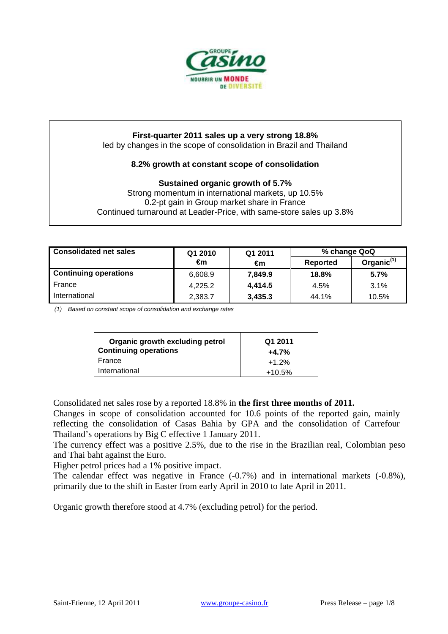

# **First-quarter 2011 sales up a very strong 18.8%**

led by changes in the scope of consolidation in Brazil and Thailand

## **8.2% growth at constant scope of consolidation**

#### **Sustained organic growth of 5.7%**

Strong momentum in international markets, up 10.5% 0.2-pt gain in Group market share in France Continued turnaround at Leader-Price, with same-store sales up 3.8%

| <b>Consolidated net sales</b> | Q1 2010 | Q1 2011 | % change QoQ |               |
|-------------------------------|---------|---------|--------------|---------------|
|                               | €m      | €m      | Reported     | Organic $(1)$ |
| <b>Continuing operations</b>  | 6,608.9 | 7,849.9 | 18.8%        | 5.7%          |
| l France                      | 4,225.2 | 4.414.5 | 4.5%         | 3.1%          |
| <b>International</b>          | 2,383.7 | 3,435.3 | 44.1%        | 10.5%         |

(1) Based on constant scope of consolidation and exchange rates

| Organic growth excluding petrol | Q1 2011  |
|---------------------------------|----------|
| <b>Continuing operations</b>    | $+4.7%$  |
| France                          | $+1.2%$  |
| International                   | $+10.5%$ |

Consolidated net sales rose by a reported 18.8% in **the first three months of 2011.** 

Changes in scope of consolidation accounted for 10.6 points of the reported gain, mainly reflecting the consolidation of Casas Bahia by GPA and the consolidation of Carrefour Thailand's operations by Big C effective 1 January 2011.

The currency effect was a positive 2.5%, due to the rise in the Brazilian real, Colombian peso and Thai baht against the Euro.

Higher petrol prices had a 1% positive impact.

The calendar effect was negative in France (-0.7%) and in international markets (-0.8%), primarily due to the shift in Easter from early April in 2010 to late April in 2011.

Organic growth therefore stood at 4.7% (excluding petrol) for the period.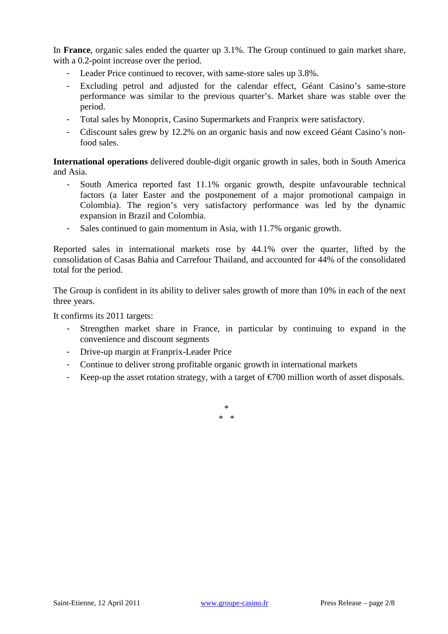In **France**, organic sales ended the quarter up 3.1%. The Group continued to gain market share, with a 0.2-point increase over the period.

- Leader Price continued to recover, with same-store sales up 3.8%.
- Excluding petrol and adjusted for the calendar effect, Géant Casino's same-store performance was similar to the previous quarter's. Market share was stable over the period.
- Total sales by Monoprix, Casino Supermarkets and Franprix were satisfactory.
- Cdiscount sales grew by 12.2% on an organic basis and now exceed Géant Casino's nonfood sales.

**International operations** delivered double-digit organic growth in sales, both in South America and Asia.

- South America reported fast 11.1% organic growth, despite unfavourable technical factors (a later Easter and the postponement of a major promotional campaign in Colombia). The region's very satisfactory performance was led by the dynamic expansion in Brazil and Colombia.
- Sales continued to gain momentum in Asia, with 11.7% organic growth.

Reported sales in international markets rose by 44.1% over the quarter, lifted by the consolidation of Casas Bahia and Carrefour Thailand, and accounted for 44% of the consolidated total for the period.

The Group is confident in its ability to deliver sales growth of more than 10% in each of the next three years.

It confirms its 2011 targets:

- Strengthen market share in France, in particular by continuing to expand in the convenience and discount segments
- Drive-up margin at Franprix-Leader Price
- Continue to deliver strong profitable organic growth in international markets
- Keep-up the asset rotation strategy, with a target of  $\epsilon$ 700 million worth of asset disposals.

\* \* \*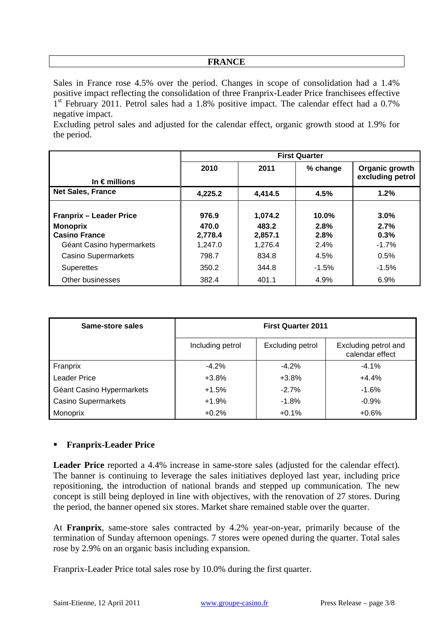#### **FRANCE**

Sales in France rose 4.5% over the period. Changes in scope of consolidation had a 1.4% positive impact reflecting the consolidation of three Franprix-Leader Price franchisees effective 1<sup>st</sup> February 2011. Petrol sales had a 1.8% positive impact. The calendar effect had a 0.7% negative impact.

Excluding petrol sales and adjusted for the calendar effect, organic growth stood at 1.9% for the period.

|                                | <b>First Quarter</b> |         |          |                                    |
|--------------------------------|----------------------|---------|----------|------------------------------------|
|                                | 2010                 | 2011    | % change | Organic growth<br>excluding petrol |
| In $\epsilon$ millions         |                      |         |          |                                    |
| Net Sales, France              | 4,225.2              | 4,414.5 | 4.5%     | 1.2%                               |
| <b>Franprix - Leader Price</b> | 976.9                | 1,074.2 | $10.0\%$ | $3.0\%$                            |
| <b>Monoprix</b>                | 470.0                | 483.2   | 2.8%     | 2.7%                               |
| <b>Casino France</b>           | 2,778.4              | 2,857.1 | 2.8%     | 0.3%                               |
| Géant Casino hypermarkets      | 1,247.0              | 1,276.4 | 2.4%     | $-1.7%$                            |
| <b>Casino Supermarkets</b>     | 798.7                | 834.8   | 4.5%     | 0.5%                               |
| <b>Superettes</b>              | 350.2                | 344.8   | $-1.5\%$ | $-1.5%$                            |
| Other businesses               | 382.4                | 401.1   | 4.9%     | 6.9%                               |

| Same-store sales           | <b>First Quarter 2011</b> |                  |                                         |  |
|----------------------------|---------------------------|------------------|-----------------------------------------|--|
|                            | Including petrol          | Excluding petrol | Excluding petrol and<br>calendar effect |  |
| Franprix                   | $-4.2%$                   | $-4.2\%$         | $-4.1%$                                 |  |
| Leader Price               | $+3.8%$                   | $+3.8%$          | $+4.4%$                                 |  |
| Géant Casino Hypermarkets  | $+1.5%$                   | $-2.7%$          | $-1.6%$                                 |  |
| <b>Casino Supermarkets</b> | $+1.9%$                   | $-1.8%$          | $-0.9%$                                 |  |
| Monoprix                   | $+0.2%$                   | $+0.1%$          | $+0.6%$                                 |  |

## **Franprix-Leader Price**

**Leader Price** reported a 4.4% increase in same-store sales (adjusted for the calendar effect). The banner is continuing to leverage the sales initiatives deployed last year, including price repositioning, the introduction of national brands and stepped up communication. The new concept is still being deployed in line with objectives, with the renovation of 27 stores. During the period, the banner opened six stores. Market share remained stable over the quarter.

At **Franprix**, same-store sales contracted by 4.2% year-on-year, primarily because of the termination of Sunday afternoon openings. 7 stores were opened during the quarter. Total sales rose by 2.9% on an organic basis including expansion.

Franprix-Leader Price total sales rose by 10.0% during the first quarter.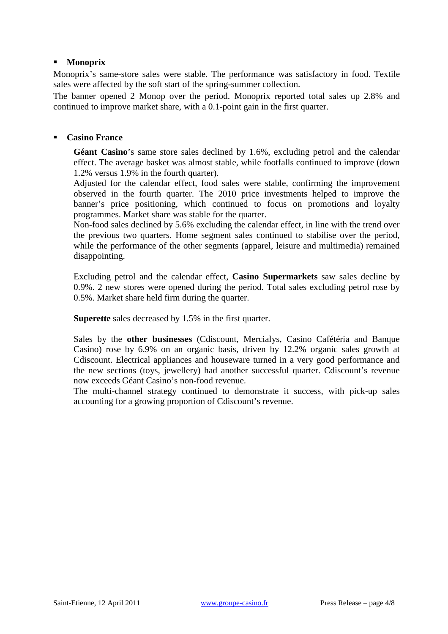### **Monoprix**

Monoprix's same-store sales were stable. The performance was satisfactory in food. Textile sales were affected by the soft start of the spring-summer collection.

The banner opened 2 Monop over the period. Monoprix reported total sales up 2.8% and continued to improve market share, with a 0.1-point gain in the first quarter.

#### **Casino France**

**Géant Casino**'s same store sales declined by 1.6%, excluding petrol and the calendar effect. The average basket was almost stable, while footfalls continued to improve (down 1.2% versus 1.9% in the fourth quarter).

Adjusted for the calendar effect, food sales were stable, confirming the improvement observed in the fourth quarter. The 2010 price investments helped to improve the banner's price positioning, which continued to focus on promotions and loyalty programmes. Market share was stable for the quarter.

Non-food sales declined by 5.6% excluding the calendar effect, in line with the trend over the previous two quarters. Home segment sales continued to stabilise over the period, while the performance of the other segments (apparel, leisure and multimedia) remained disappointing.

Excluding petrol and the calendar effect, **Casino Supermarkets** saw sales decline by 0.9%. 2 new stores were opened during the period. Total sales excluding petrol rose by 0.5%. Market share held firm during the quarter.

**Superette** sales decreased by 1.5% in the first quarter.

Sales by the **other businesses** (Cdiscount, Mercialys, Casino Cafétéria and Banque Casino) rose by 6.9% on an organic basis, driven by 12.2% organic sales growth at Cdiscount. Electrical appliances and houseware turned in a very good performance and the new sections (toys, jewellery) had another successful quarter. Cdiscount's revenue now exceeds Géant Casino's non-food revenue.

The multi-channel strategy continued to demonstrate it success, with pick-up sales accounting for a growing proportion of Cdiscount's revenue.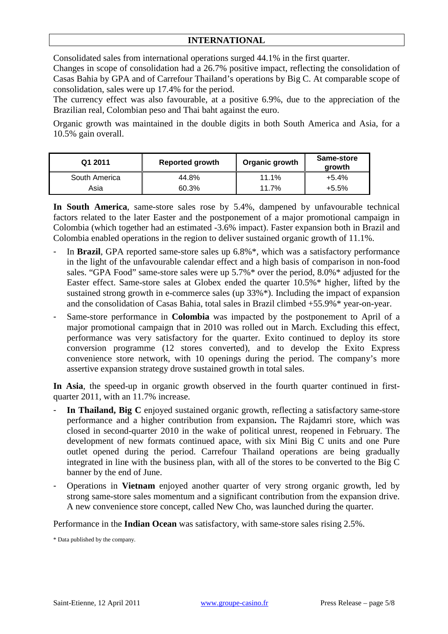Consolidated sales from international operations surged 44.1% in the first quarter.

Changes in scope of consolidation had a 26.7% positive impact, reflecting the consolidation of Casas Bahia by GPA and of Carrefour Thailand's operations by Big C. At comparable scope of consolidation, sales were up 17.4% for the period.

The currency effect was also favourable, at a positive 6.9%, due to the appreciation of the Brazilian real, Colombian peso and Thai baht against the euro.

Organic growth was maintained in the double digits in both South America and Asia, for a 10.5% gain overall.

| Q1 2011       | <b>Reported growth</b> | Organic growth |          |
|---------------|------------------------|----------------|----------|
| South America | 44.8%                  | 11.1%          | $+5.4\%$ |
| Asia          | 60.3%                  | 11.7%          | $+5.5%$  |

**In South America**, same-store sales rose by 5.4%, dampened by unfavourable technical factors related to the later Easter and the postponement of a major promotional campaign in Colombia (which together had an estimated -3.6% impact). Faster expansion both in Brazil and Colombia enabled operations in the region to deliver sustained organic growth of 11.1%.

- In **Brazil**, GPA reported same-store sales up 6.8%\*, which was a satisfactory performance in the light of the unfavourable calendar effect and a high basis of comparison in non-food sales. "GPA Food" same-store sales were up 5.7%\* over the period, 8.0%\* adjusted for the Easter effect. Same-store sales at Globex ended the quarter 10.5%\* higher, lifted by the sustained strong growth in e-commerce sales (up 33%\*). Including the impact of expansion and the consolidation of Casas Bahia, total sales in Brazil climbed +55.9%\* year-on-year.
- Same-store performance in **Colombia** was impacted by the postponement to April of a major promotional campaign that in 2010 was rolled out in March. Excluding this effect, performance was very satisfactory for the quarter. Exito continued to deploy its store conversion programme (12 stores converted), and to develop the Exito Express convenience store network, with 10 openings during the period. The company's more assertive expansion strategy drove sustained growth in total sales.

**In Asia**, the speed-up in organic growth observed in the fourth quarter continued in firstquarter 2011, with an 11.7% increase.

- In Thailand, Big C enjoyed sustained organic growth, reflecting a satisfactory same-store performance and a higher contribution from expansion**.** The Rajdamri store, which was closed in second-quarter 2010 in the wake of political unrest, reopened in February. The development of new formats continued apace, with six Mini Big C units and one Pure outlet opened during the period. Carrefour Thailand operations are being gradually integrated in line with the business plan, with all of the stores to be converted to the Big C banner by the end of June.
- Operations in **Vietnam** enjoyed another quarter of very strong organic growth, led by strong same-store sales momentum and a significant contribution from the expansion drive. A new convenience store concept, called New Cho, was launched during the quarter.

Performance in the **Indian Ocean** was satisfactory, with same-store sales rising 2.5%.

<sup>\*</sup> Data published by the company.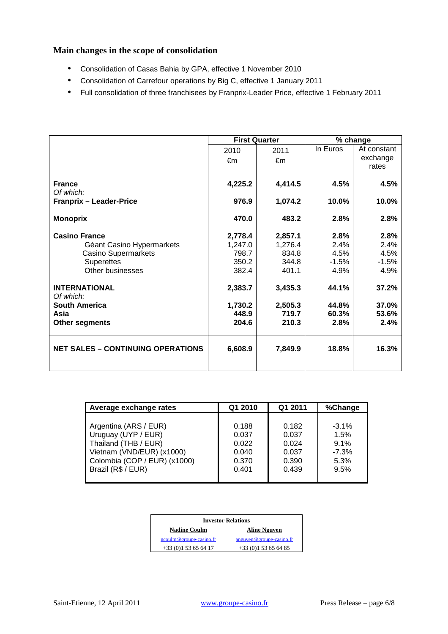# **Main changes in the scope of consolidation**

- Consolidation of Casas Bahia by GPA, effective 1 November 2010
- Consolidation of Carrefour operations by Big C, effective 1 January 2011
- Full consolidation of three franchisees by Franprix-Leader Price, effective 1 February 2011

|                                          | <b>First Quarter</b> |         | % change |             |
|------------------------------------------|----------------------|---------|----------|-------------|
|                                          | 2010                 | 2011    | In Euros | At constant |
|                                          | €m                   | €m      |          | exchange    |
|                                          |                      |         |          | rates       |
| <b>France</b>                            | 4,225.2              | 4,414.5 | 4.5%     | 4.5%        |
| Of which:                                |                      |         |          |             |
| <b>Franprix - Leader-Price</b>           | 976.9                | 1,074.2 | 10.0%    | 10.0%       |
| <b>Monoprix</b>                          | 470.0                | 483.2   | 2.8%     | 2.8%        |
| <b>Casino France</b>                     | 2,778.4              | 2,857.1 | 2.8%     | 2.8%        |
| Géant Casino Hypermarkets                | 1,247.0              | 1,276.4 | 2.4%     | 2.4%        |
| <b>Casino Supermarkets</b>               | 798.7                | 834.8   | 4.5%     | 4.5%        |
| <b>Superettes</b>                        | 350.2                | 344.8   | $-1.5%$  | $-1.5%$     |
| Other businesses                         | 382.4                | 401.1   | 4.9%     | 4.9%        |
| <b>INTERNATIONAL</b>                     | 2,383.7              | 3,435.3 | 44.1%    | 37.2%       |
| Of which:                                |                      |         |          |             |
| <b>South America</b>                     | 1,730.2              | 2,505.3 | 44.8%    | 37.0%       |
| Asia                                     | 448.9                | 719.7   | 60.3%    | 53.6%       |
| <b>Other segments</b>                    | 204.6                | 210.3   | 2.8%     | 2.4%        |
| <b>NET SALES - CONTINUING OPERATIONS</b> | 6,608.9              | 7,849.9 | 18.8%    | 16.3%       |

| Average exchange rates       | Q1 2010 | Q1 2011 | %Change |
|------------------------------|---------|---------|---------|
| Argentina (ARS / EUR)        | 0.188   | 0.182   | $-3.1%$ |
| Uruguay (UYP / EUR)          | 0.037   | 0.037   | 1.5%    |
| Thailand (THB / EUR)         | 0.022   | 0.024   | 9.1%    |
| Vietnam (VND/EUR) (x1000)    | 0.040   | 0.037   | $-7.3%$ |
| Colombia (COP / EUR) (x1000) | 0.370   | 0.390   | 5.3%    |
| Brazil (R\$ / EUR)           | 0.401   | 0.439   | 9.5%    |

| <b>Investor Relations</b>                  |                          |  |  |
|--------------------------------------------|--------------------------|--|--|
| <b>Nadine Coulm</b><br><b>Aline Nguyen</b> |                          |  |  |
| $ncoulm@group$ -casino.fr                  | anguyen@groupe-casino.fr |  |  |
| $+33(0)153656417$                          | $+33(0)153656485$        |  |  |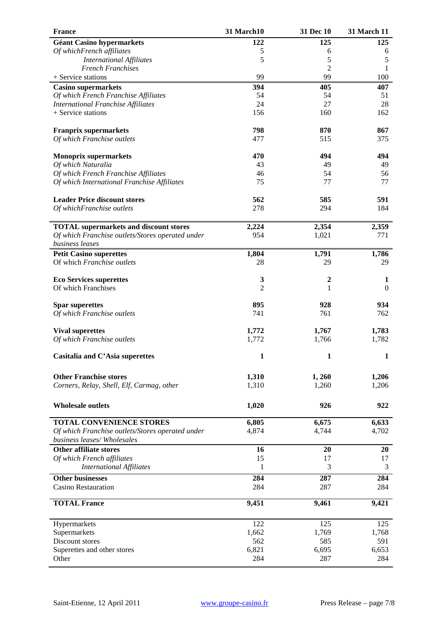| <b>France</b>                                    | <b>31 March10</b> | 31 Dec 10        | 31 March 11      |
|--------------------------------------------------|-------------------|------------------|------------------|
| <b>Géant Casino hypermarkets</b>                 | 122               | 125              | 125              |
| Of whichFrench affiliates                        | 5                 | 6                | 6                |
| <b>International Affiliates</b>                  | 5                 | 5                | 5                |
| <b>French Franchises</b>                         |                   | $\overline{2}$   | $\mathbf{1}$     |
| + Service stations                               | 99                | 99               | 100              |
| <b>Casino supermarkets</b>                       | 394               | 405              | 407              |
| Of which French Franchise Affiliates             | 54                | 54               | 51               |
| <b>International Franchise Affiliates</b>        | 24                | 27               | 28               |
| + Service stations                               | 156               | 160              | 162              |
| <b>Franprix supermarkets</b>                     | 798               | 870              | 867              |
| Of which Franchise outlets                       | 477               | 515              | 375              |
|                                                  |                   |                  |                  |
| <b>Monoprix supermarkets</b>                     | 470               | 494              | 494              |
| Of which Naturalia                               | 43                | 49               | 49               |
| Of which French Franchise Affiliates             | 46                | 54               | 56               |
| Of which International Franchise Affiliates      | 75                | 77               | 77               |
|                                                  |                   |                  |                  |
| <b>Leader Price discount stores</b>              | 562               | 585              | 591              |
| Of whichFranchise outlets                        | 278               | 294              | 184              |
|                                                  |                   |                  |                  |
| <b>TOTAL</b> supermarkets and discount stores    | 2,224             | 2,354            | 2,359            |
| Of which Franchise outlets/Stores operated under | 954               | 1,021            | 771              |
| business leases                                  |                   |                  |                  |
| <b>Petit Casino superettes</b>                   | 1,804             | 1,791            | 1,786            |
| Of which Franchise outlets                       | 28                | 29               | 29               |
|                                                  |                   |                  |                  |
| <b>Eco Services superettes</b>                   | 3                 | $\boldsymbol{2}$ | 1                |
| Of which Franchises                              | 2                 | 1                | $\boldsymbol{0}$ |
|                                                  |                   |                  |                  |
| <b>Spar superettes</b>                           | 895<br>741        | 928<br>761       | 934<br>762       |
| Of which Franchise outlets                       |                   |                  |                  |
| <b>Vival superettes</b>                          | 1,772             | 1,767            | 1,783            |
| Of which Franchise outlets                       | 1,772             | 1,766            | 1,782            |
|                                                  |                   |                  |                  |
| Casitalia and C'Asia superettes                  | 1                 | 1                | 1                |
|                                                  |                   |                  |                  |
| <b>Other Franchise stores</b>                    | 1,310             | 1,260            | 1,206            |
| Corners, Relay, Shell, Elf, Carmag, other        | 1,310             | 1,260            | 1,206            |
|                                                  |                   |                  |                  |
| <b>Wholesale outlets</b>                         | 1,020             | 926              | 922              |
|                                                  |                   |                  |                  |
| <b>TOTAL CONVENIENCE STORES</b>                  | 6,805             | 6,675            | 6,633            |
| Of which Franchise outlets/Stores operated under | 4,874             | 4,744            | 4,702            |
| business leases/ Wholesales                      |                   |                  |                  |
| <b>Other affiliate stores</b>                    | 16                | 20               | <b>20</b>        |
| Of which French affiliates                       | 15                | 17               | 17               |
| <b>International Affiliates</b>                  | 1                 | 3                | 3                |
| <b>Other businesses</b>                          | 284               | 287              | 284              |
| <b>Casino Restauration</b>                       | 284               | 287              | 284              |
|                                                  |                   |                  |                  |
| <b>TOTAL France</b>                              | 9,451             | 9,461            | 9,421            |
|                                                  |                   |                  |                  |
| Hypermarkets                                     | 122               | 125              | 125              |
| Supermarkets                                     | 1,662             | 1,769            | 1,768            |
| Discount stores                                  | 562               | 585              | 591              |
| Superettes and other stores                      | 6,821             | 6,695            | 6,653            |
| Other                                            | 284               | 287              | 284              |